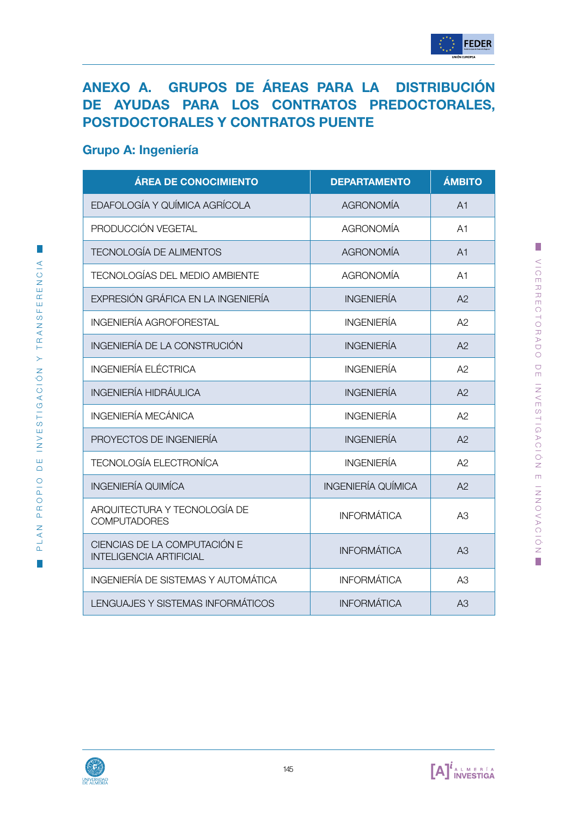# ANEXO A. GRUPOS DE ÁREAS PARA LA DISTRIBUCIÓN DE AYUDAS PARA LOS CONTRATOS PREDOCTORALES, POSTDOCTORALES Y CONTRATOS PUENTE

### Grupo A: Ingeniería

| <b>ÁREA DE CONOCIMIENTO</b>                                    | <b>DEPARTAMENTO</b>       | <b>ÁMBITO</b>  |
|----------------------------------------------------------------|---------------------------|----------------|
| EDAFOLOGÍA Y QUÍMICA AGRÍCOLA                                  | <b>AGRONOMÍA</b>          | A <sub>1</sub> |
| PRODUCCIÓN VEGETAL                                             | <b>AGRONOMÍA</b>          | A1             |
| <b>TECNOLOGÍA DE ALIMENTOS</b>                                 | <b>AGRONOMÍA</b>          | A <sub>1</sub> |
| <b>TECNOLOGÍAS DEL MEDIO AMBIENTE</b>                          | <b>AGRONOMÍA</b>          | A1             |
| EXPRESIÓN GRÁFICA EN LA INGENIERÍA                             | <b>INGENIERÍA</b>         | A2             |
| <b>INGENIERÍA AGROFORESTAL</b>                                 | <b>INGENIERÍA</b>         | A2             |
| INGENIERÍA DE LA CONSTRUCIÓN                                   | <b>INGENIERÍA</b>         | A <sup>2</sup> |
| <b>INGENIERÍA ELÉCTRICA</b>                                    | <b>INGENIERÍA</b>         | A2             |
| <b>INGENIERÍA HIDRÁULICA</b>                                   | <b>INGENIERÍA</b>         | A2             |
| <b>INGENIERÍA MECÁNICA</b>                                     | <b>INGENIERÍA</b>         | A2             |
| PROYECTOS DE INGENIERÍA                                        | <b>INGENIERÍA</b>         | A2             |
| <b>TECNOLOGÍA ELECTRONÍCA</b>                                  | <b>INGENIERÍA</b>         | A2             |
| <b>INGENIERÍA QUIMÍCA</b>                                      | <b>INGENIERÍA QUÍMICA</b> | A2             |
| ARQUITECTURA Y TECNOLOGÍA DE<br><b>COMPUTADORES</b>            | <b>INFORMÁTICA</b>        | A3             |
| CIENCIAS DE LA COMPUTACIÓN E<br><b>INTELIGENCIA ARTIFICIAL</b> | <b>INFORMÁTICA</b>        | A3             |
| INGENIERÍA DE SISTEMAS Y AUTOMÁTICA                            | <b>INFORMÁTICA</b>        | A <sub>3</sub> |
| LENGUAJES Y SISTEMAS INFORMÁTICOS                              | <b>INFORMÁTICA</b>        | A3             |



 $\mathbb{R}^3$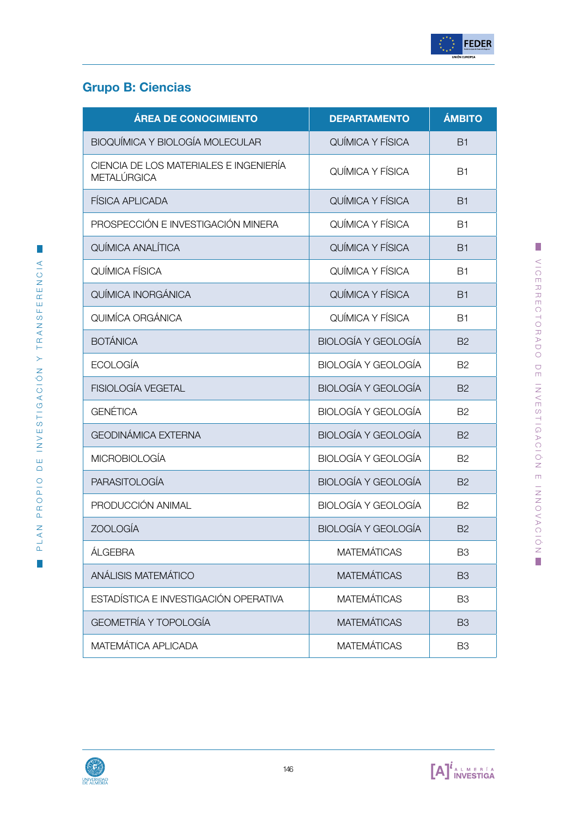

# Grupo B: Ciencias

| <b>ÁREA DE CONOCIMIENTO</b>                           | <b>DEPARTAMENTO</b>        | <b>ÁMBITO</b>  |
|-------------------------------------------------------|----------------------------|----------------|
| BIOQUÍMICA Y BIOLOGÍA MOLECULAR                       | QUÍMICA Y FÍSICA           | <b>B1</b>      |
| CIENCIA DE LOS MATERIALES E INGENIERÍA<br>METALÚRGICA | QUÍMICA Y FÍSICA           | <b>B1</b>      |
| <b>FÍSICA APLICADA</b>                                | QUÍMICA Y FÍSICA           | <b>B1</b>      |
| PROSPECCIÓN E INVESTIGACIÓN MINERA                    | <b>OUÍMICA Y FÍSICA</b>    | <b>B1</b>      |
| QUÍMICA ANALÍTICA                                     | QUÍMICA Y FÍSICA           | <b>B1</b>      |
| QUÍMICA FÍSICA                                        | QUÍMICA Y FÍSICA           | <b>B1</b>      |
| QUÍMICA INORGÁNICA                                    | QUÍMICA Y FÍSICA           | <b>B1</b>      |
| QUIMÍCA ORGÁNICA                                      | QUÍMICA Y FÍSICA           | <b>B1</b>      |
| <b>BOTÁNICA</b>                                       | <b>BIOLOGÍA Y GEOLOGÍA</b> | <b>B2</b>      |
| <b>ECOLOGÍA</b>                                       | <b>BIOLOGÍA Y GEOLOGÍA</b> | <b>B2</b>      |
| <b>FISIOLOGÍA VEGETAL</b>                             | <b>BIOLOGÍA Y GEOLOGÍA</b> | <b>B2</b>      |
| <b>GENÉTICA</b>                                       | <b>BIOLOGÍA Y GEOLOGÍA</b> | <b>B2</b>      |
| <b>GEODINÁMICA EXTERNA</b>                            | <b>BIOLOGÍA Y GEOLOGÍA</b> | <b>B2</b>      |
| <b>MICROBIOLOGÍA</b>                                  | <b>BIOLOGÍA Y GEOLOGÍA</b> | <b>B2</b>      |
| <b>PARASITOLOGÍA</b>                                  | <b>BIOLOGÍA Y GEOLOGÍA</b> | <b>B2</b>      |
| PRODUCCIÓN ANIMAL                                     | <b>BIOLOGÍA Y GEOLOGÍA</b> | <b>B2</b>      |
| <b>ZOOLOGÍA</b>                                       | <b>BIOLOGÍA Y GEOLOGÍA</b> | <b>B2</b>      |
| ÁLGEBRA                                               | <b>MATEMÁTICAS</b>         | B <sub>3</sub> |
| ANÁLISIS MATEMÁTICO                                   | <b>MATEMÁTICAS</b>         | B <sub>3</sub> |
| ESTADÍSTICA E INVESTIGACIÓN OPERATIVA                 | <b>MATEMÁTICAS</b>         | B <sub>3</sub> |
| <b>GEOMETRÍA Y TOPOLOGÍA</b>                          | <b>MATEMÁTICAS</b>         | <b>B3</b>      |
| MATEMÁTICA APLICADA                                   | <b>MATEMÁTICAS</b>         | B <sub>3</sub> |



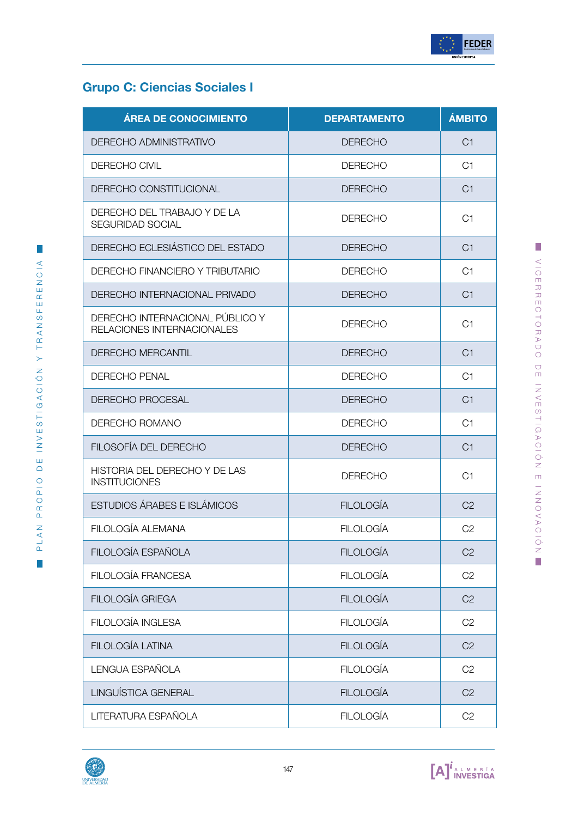

VICERRECTORADO DE INVESTIGACIÓN E INNOVACIÓN

VICERRECTORADO DE INVESTIGACIÓN E INNOVACIÓN

# Grupo C: Ciencias Sociales I

| <b>ÁREA DE CONOCIMIENTO</b>                                   | <b>DEPARTAMENTO</b> | <b>ÁMBITO</b>  |
|---------------------------------------------------------------|---------------------|----------------|
| DERECHO ADMINISTRATIVO                                        | <b>DERECHO</b>      | C <sub>1</sub> |
| DERECHO CIVIL                                                 | <b>DERECHO</b>      | C <sub>1</sub> |
| DERECHO CONSTITUCIONAL                                        | <b>DERECHO</b>      | C <sub>1</sub> |
| DERECHO DEL TRABAJO Y DE LA<br><b>SEGURIDAD SOCIAL</b>        | <b>DERECHO</b>      | C <sub>1</sub> |
| DERECHO ECLESIÁSTICO DEL ESTADO                               | <b>DERECHO</b>      | C1             |
| DERECHO FINANCIERO Y TRIBUTARIO                               | <b>DERECHO</b>      | C1             |
| DERECHO INTERNACIONAL PRIVADO                                 | <b>DERECHO</b>      | C1             |
| DERECHO INTERNACIONAL PÚBLICO Y<br>RELACIONES INTERNACIONALES | <b>DERECHO</b>      | C <sub>1</sub> |
| <b>DERECHO MERCANTIL</b>                                      | <b>DERECHO</b>      | C <sub>1</sub> |
| <b>DERECHO PENAL</b>                                          | <b>DERECHO</b>      | C <sub>1</sub> |
| <b>DERECHO PROCESAL</b>                                       | <b>DERECHO</b>      | C <sub>1</sub> |
| DERECHO ROMANO                                                | <b>DERECHO</b>      | C1             |
| FILOSOFÍA DEL DERECHO                                         | <b>DERECHO</b>      | C <sub>1</sub> |
| HISTORIA DEL DERECHO Y DE LAS<br><b>INSTITUCIONES</b>         | <b>DERECHO</b>      | C1             |
| <b>ESTUDIOS ÁRABES E ISLÁMICOS</b>                            | <b>FILOLOGÍA</b>    | C <sub>2</sub> |
| FILOLOGÍA ALEMANA                                             | <b>FILOLOGÍA</b>    | C <sub>2</sub> |
| FILOLOGÍA ESPAÑOLA                                            | <b>FILOLOGÍA</b>    | C <sub>2</sub> |
| FILOLOGÍA FRANCESA                                            | <b>FILOLOGÍA</b>    | C <sub>2</sub> |
| FILOLOGÍA GRIEGA                                              | <b>FILOLOGÍA</b>    | C <sub>2</sub> |
| FILOLOGÍA INGLESA                                             | <b>FILOLOGÍA</b>    | C <sub>2</sub> |
| FILOLOGÍA LATINA                                              | <b>FILOLOGÍA</b>    | C <sub>2</sub> |
| LENGUA ESPAÑOLA                                               | <b>FILOLOGÍA</b>    | C2             |
| LINGUÍSTICA GENERAL                                           | <b>FILOLOGÍA</b>    | C <sub>2</sub> |
| LITERATURA ESPAÑOLA                                           | <b>FILOLOGÍA</b>    | C <sub>2</sub> |

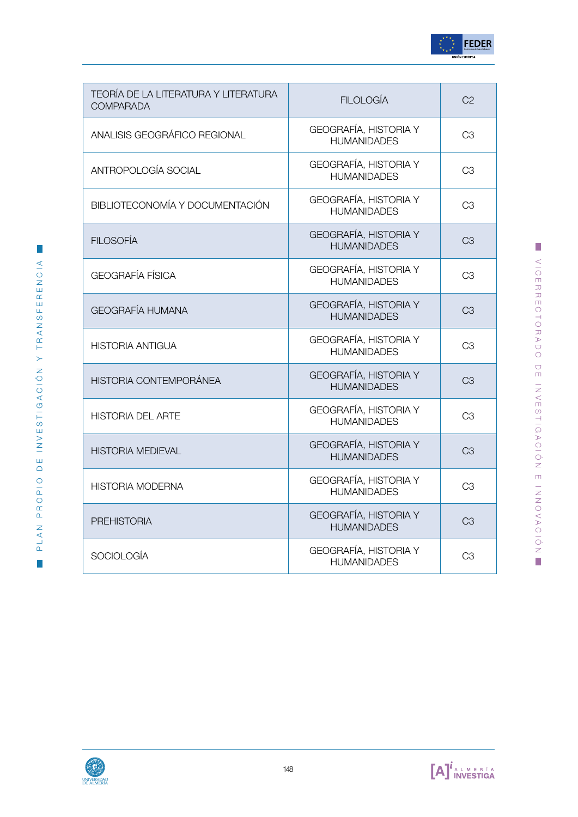

| TEORÍA DE LA LITERATURA Y LITERATURA<br><b>COMPARADA</b> | <b>FILOLOGÍA</b>                                   | C <sub>2</sub> |
|----------------------------------------------------------|----------------------------------------------------|----------------|
| ANALISIS GEOGRÁFICO REGIONAL                             | GEOGRAFÍA, HISTORIA Y<br><b>HUMANIDADES</b>        | C <sub>3</sub> |
| ANTROPOLOGÍA SOCIAL                                      | GEOGRAFÍA, HISTORIA Y<br><b>HUMANIDADES</b>        | C <sub>3</sub> |
| BIBLIOTECONOMÍA Y DOCUMENTACIÓN                          | GEOGRAFÍA, HISTORIA Y<br><b>HUMANIDADES</b>        | C <sub>3</sub> |
| <b>FILOSOFÍA</b>                                         | GEOGRAFÍA, HISTORIA Y<br><b>HUMANIDADES</b>        | C <sub>3</sub> |
| <b>GEOGRAFÍA FÍSICA</b>                                  | GEOGRAFÍA, HISTORIA Y<br><b>HUMANIDADES</b>        | C <sub>3</sub> |
| <b>GEOGRAFÍA HUMANA</b>                                  | GEOGRAFÍA, HISTORIA Y<br><b>HUMANIDADES</b>        | CЗ             |
| <b>HISTORIA ANTIGUA</b>                                  | GEOGRAFÍA, HISTORIA Y<br><b>HUMANIDADES</b>        | C <sub>3</sub> |
| <b>HISTORIA CONTEMPORÁNEA</b>                            | GEOGRAFÍA, HISTORIA Y<br><b>HUMANIDADES</b>        | C <sub>3</sub> |
| <b>HISTORIA DEL ARTE</b>                                 | GEOGRAFÍA, HISTORIA Y<br><b>HUMANIDADES</b>        | C <sub>3</sub> |
| <b>HISTORIA MEDIEVAL</b>                                 | <b>GEOGRAFÍA, HISTORIA Y</b><br><b>HUMANIDADES</b> | C <sub>3</sub> |
| <b>HISTORIA MODERNA</b>                                  | <b>GEOGRAFÍA, HISTORIA Y</b><br><b>HUMANIDADES</b> | C <sub>3</sub> |
| <b>PREHISTORIA</b>                                       | <b>GEOGRAFÍA, HISTORIA Y</b><br><b>HUMANIDADES</b> | C <sub>3</sub> |
| <b>SOCIOLOGÍA</b>                                        | GEOGRAFÍA, HISTORIA Y<br><b>HUMANIDADES</b>        | C <sub>3</sub> |



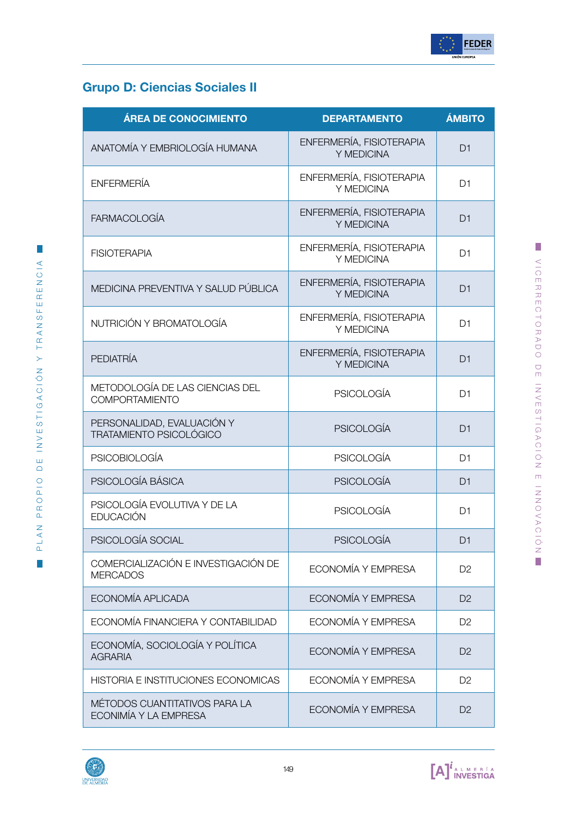

# Grupo D: Ciencias Sociales II

| <b>ÁREA DE CONOCIMIENTO</b>                                  | <b>DEPARTAMENTO</b>                    | <b>ÁMBITO</b>  |
|--------------------------------------------------------------|----------------------------------------|----------------|
| ANATOMÍA Y EMBRIOLOGÍA HUMANA                                | ENFERMERÍA, FISIOTERAPIA<br>Y MEDICINA | D <sub>1</sub> |
| <b>ENFERMERÍA</b>                                            | ENFERMERÍA, FISIOTERAPIA<br>Y MEDICINA | D <sub>1</sub> |
| <b>FARMACOLOGÍA</b>                                          | ENFERMERÍA, FISIOTERAPIA<br>Y MEDICINA | D <sub>1</sub> |
| <b>FISIOTERAPIA</b>                                          | ENFERMERÍA, FISIOTERAPIA<br>Y MEDICINA | D <sub>1</sub> |
| MEDICINA PREVENTIVA Y SALUD PÚBLICA                          | ENFERMERÍA, FISIOTERAPIA<br>Y MEDICINA | D <sub>1</sub> |
| NUTRICIÓN Y BROMATOLOGÍA                                     | ENFERMERÍA, FISIOTERAPIA<br>Y MEDICINA | D <sub>1</sub> |
| <b>PEDIATRÍA</b>                                             | ENFERMERÍA, FISIOTERAPIA<br>Y MEDICINA | D <sub>1</sub> |
| METODOLOGÍA DE LAS CIENCIAS DEL<br>COMPORTAMIENTO            | <b>PSICOLOGÍA</b>                      | D <sub>1</sub> |
| PERSONALIDAD, EVALUACIÓN Y<br><b>TRATAMIENTO PSICOLÓGICO</b> | <b>PSICOLOGÍA</b>                      | D <sub>1</sub> |
| <b>PSICOBIOLOGÍA</b>                                         | <b>PSICOLOGÍA</b>                      | D <sub>1</sub> |
| PSICOLOGÍA BÁSICA                                            | <b>PSICOLOGÍA</b>                      | D <sub>1</sub> |
| PSICOLOGÍA EVOLUTIVA Y DE LA<br><b>EDUCACIÓN</b>             | <b>PSICOLOGÍA</b>                      | D <sub>1</sub> |
| PSICOLOGÍA SOCIAL                                            | <b>PSICOLOGÍA</b>                      | D <sub>1</sub> |
| COMERCIALIZACIÓN E INVESTIGACIÓN DE<br><b>MERCADOS</b>       | ECONOMÍA Y EMPRESA                     | D <sub>2</sub> |
| ECONOMÍA APLICADA                                            | ECONOMÍA Y EMPRESA                     | D <sub>2</sub> |
| ECONOMÍA FINANCIERA Y CONTABILIDAD                           | ECONOMÍA Y EMPRESA                     | D <sub>2</sub> |
| ECONOMÍA, SOCIOLOGÍA Y POLÍTICA<br><b>AGRARIA</b>            | ECONOMÍA Y EMPRESA                     | D <sub>2</sub> |
| HISTORIA E INSTITUCIONES ECONOMICAS                          | ECONOMÍA Y EMPRESA                     | D <sub>2</sub> |
| MÉTODOS CUANTITATIVOS PARA LA<br>ECONIMÍA Y LA EMPRESA       | ECONOMÍA Y EMPRESA                     | D <sub>2</sub> |